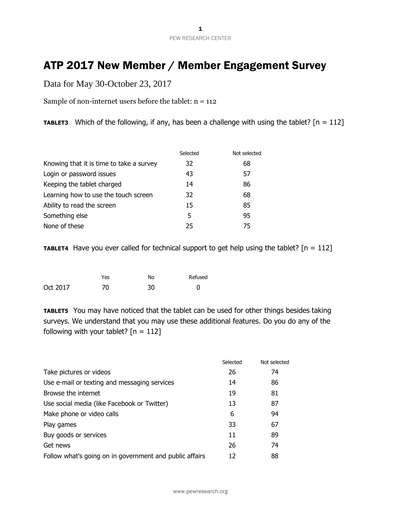1 PEW RESEARCH CENTER

## ATP 2017 New Member / Member Engagement Survey

Data for May 30-October 23, 2017

Sample of non-internet users before the tablet:  $n = 112$ 

**TABLET3** Which of the following, if any, has been a challenge with using the tablet?  $[n = 112]$ 

|                                          | Selected | Not selected |
|------------------------------------------|----------|--------------|
| Knowing that it is time to take a survey | 32       | 68           |
| Login or password issues                 | 43       | 57           |
| Keeping the tablet charged               | 14       | 86           |
| Learning how to use the touch screen     | 32       | 68           |
| Ability to read the screen               | 15       | 85           |
| Something else                           | 5        | 95           |
| None of these                            | 25       | 75           |

**TABLET4** Have you ever called for technical support to get help using the tablet?  $[n = 112]$ 

|          | Yes | No | Refused |
|----------|-----|----|---------|
| Oct 2017 | 70  | 30 |         |

**TABLET5** You may have noticed that the tablet can be used for other things besides taking surveys. We understand that you may use these additional features. Do you do any of the following with your tablet?  $[n = 112]$ 

|                                                         | Selected | Not selected |
|---------------------------------------------------------|----------|--------------|
| Take pictures or videos                                 | 26       | 74           |
| Use e-mail or texting and messaging services            | 14       | 86           |
| Browse the internet                                     | 19       | 81           |
| Use social media (like Facebook or Twitter)             | 13       | 87           |
| Make phone or video calls                               | 6        | 94           |
| Play games                                              | 33       | 67           |
| Buy goods or services                                   | 11       | 89           |
| Get news                                                | 26       | 74           |
| Follow what's going on in government and public affairs | 12       | 88           |